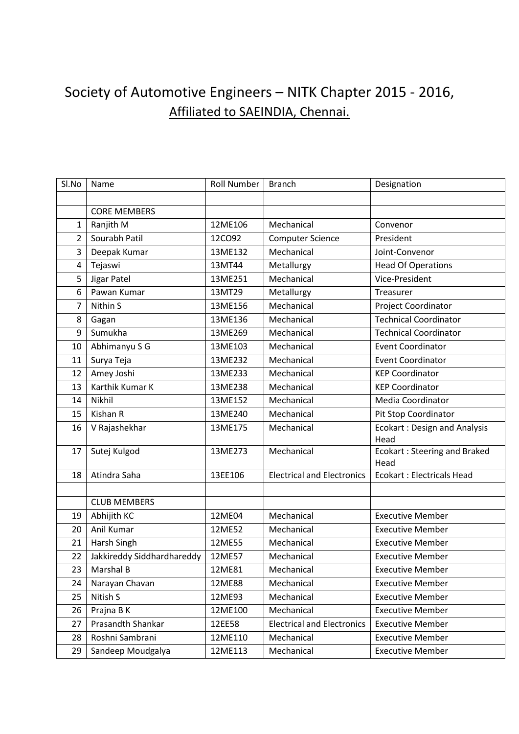## Society of Automotive Engineers – NITK Chapter 2015 - 2016, Affiliated to SAEINDIA, Chennai.

| Sl.No            | Name                       | <b>Roll Number</b> | <b>Branch</b>                     | Designation                                 |
|------------------|----------------------------|--------------------|-----------------------------------|---------------------------------------------|
|                  |                            |                    |                                   |                                             |
|                  | <b>CORE MEMBERS</b>        |                    |                                   |                                             |
| $\mathbf{1}$     | Ranjith M                  | 12ME106            | Mechanical                        | Convenor                                    |
| $\overline{2}$   | Sourabh Patil              | 12CO92             | <b>Computer Science</b>           | President                                   |
| 3                | Deepak Kumar               | 13ME132            | Mechanical                        | Joint-Convenor                              |
| 4                | Tejaswi                    | 13MT44             | Metallurgy                        | <b>Head Of Operations</b>                   |
| 5                | Jigar Patel                | 13ME251            | Mechanical                        | Vice-President                              |
| $\boldsymbol{6}$ | Pawan Kumar                | 13MT29             | Metallurgy                        | Treasurer                                   |
| $\overline{7}$   | Nithin S                   | 13ME156            | Mechanical                        | Project Coordinator                         |
| 8                | Gagan                      | 13ME136            | Mechanical                        | <b>Technical Coordinator</b>                |
| 9                | Sumukha                    | 13ME269            | Mechanical                        | <b>Technical Coordinator</b>                |
| 10               | Abhimanyu S G              | 13ME103            | Mechanical                        | <b>Event Coordinator</b>                    |
| 11               | Surya Teja                 | 13ME232            | Mechanical                        | <b>Event Coordinator</b>                    |
| 12               | Amey Joshi                 | 13ME233            | Mechanical                        | <b>KEP Coordinator</b>                      |
| 13               | Karthik Kumar K            | 13ME238            | Mechanical                        | <b>KEP Coordinator</b>                      |
| 14               | Nikhil                     | 13ME152            | Mechanical                        | Media Coordinator                           |
| 15               | Kishan R                   | 13ME240            | Mechanical                        | Pit Stop Coordinator                        |
| 16               | V Rajashekhar              | 13ME175            | Mechanical                        | <b>Ecokart: Design and Analysis</b><br>Head |
| 17               | Sutej Kulgod               | 13ME273            | Mechanical                        | <b>Ecokart: Steering and Braked</b><br>Head |
| 18               | Atindra Saha               | 13EE106            | <b>Electrical and Electronics</b> | <b>Ecokart: Electricals Head</b>            |
|                  |                            |                    |                                   |                                             |
|                  | <b>CLUB MEMBERS</b>        |                    |                                   |                                             |
| 19               | Abhijith KC                | 12ME04             | Mechanical                        | <b>Executive Member</b>                     |
| 20               | Anil Kumar                 | 12ME52             | Mechanical                        | <b>Executive Member</b>                     |
| 21               | Harsh Singh                | 12ME55             | Mechanical                        | <b>Executive Member</b>                     |
| 22               | Jakkireddy Siddhardhareddy | 12ME57             | Mechanical                        | <b>Executive Member</b>                     |
| 23               | Marshal B                  | 12ME81             | Mechanical                        | <b>Executive Member</b>                     |
| 24               | Narayan Chavan             | 12ME88             | Mechanical                        | <b>Executive Member</b>                     |
| 25               | Nitish S                   | 12ME93             | Mechanical                        | <b>Executive Member</b>                     |
| 26               | Prajna B K                 | 12ME100            | Mechanical                        | <b>Executive Member</b>                     |
| 27               | Prasandth Shankar          | 12EE58             | <b>Electrical and Electronics</b> | <b>Executive Member</b>                     |
| 28               | Roshni Sambrani            | 12ME110            | Mechanical                        | <b>Executive Member</b>                     |
| 29               | Sandeep Moudgalya          | 12ME113            | Mechanical                        | <b>Executive Member</b>                     |